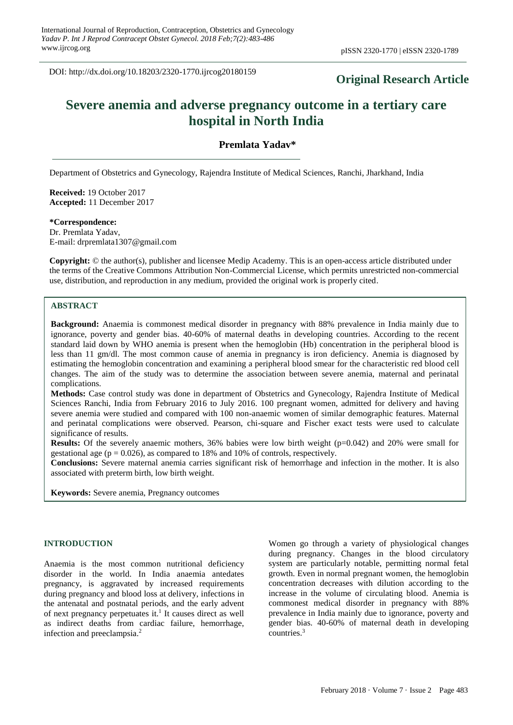DOI: http://dx.doi.org/10.18203/2320-1770.ijrcog20180159

# **Original Research Article**

# **Severe anemia and adverse pregnancy outcome in a tertiary care hospital in North India**

### **Premlata Yadav\***

Department of Obstetrics and Gynecology, Rajendra Institute of Medical Sciences, Ranchi, Jharkhand, India

**Received:** 19 October 2017 **Accepted:** 11 December 2017

**\*Correspondence:**

Dr. Premlata Yadav, E-mail: drpremlata1307@gmail.com

**Copyright:** © the author(s), publisher and licensee Medip Academy. This is an open-access article distributed under the terms of the Creative Commons Attribution Non-Commercial License, which permits unrestricted non-commercial use, distribution, and reproduction in any medium, provided the original work is properly cited.

## **ABSTRACT**

**Background:** Anaemia is commonest medical disorder in pregnancy with 88% prevalence in India mainly due to ignorance, poverty and gender bias. 40-60% of maternal deaths in developing countries. According to the recent standard laid down by WHO anemia is present when the hemoglobin (Hb) concentration in the peripheral blood is less than 11 gm/dl. The most common cause of anemia in pregnancy is iron deficiency. Anemia is diagnosed by estimating the hemoglobin concentration and examining a peripheral blood smear for the characteristic red blood cell changes. The aim of the study was to determine the association between severe anemia, maternal and perinatal complications.

**Methods:** Case control study was done in department of Obstetrics and Gynecology, Rajendra Institute of Medical Sciences Ranchi, India from February 2016 to July 2016. 100 pregnant women, admitted for delivery and having severe anemia were studied and compared with 100 non-anaemic women of similar demographic features. Maternal and perinatal complications were observed. Pearson, chi-square and Fischer exact tests were used to calculate significance of results.

**Results:** Of the severely anaemic mothers, 36% babies were low birth weight (p=0.042) and 20% were small for gestational age ( $p = 0.026$ ), as compared to 18% and 10% of controls, respectively.

**Conclusions:** Severe maternal anemia carries significant risk of hemorrhage and infection in the mother. It is also associated with preterm birth, low birth weight.

**Keywords:** Severe anemia, Pregnancy outcomes

#### **INTRODUCTION**

Anaemia is the most common nutritional deficiency disorder in the world. In India anaemia antedates pregnancy, is aggravated by increased requirements during pregnancy and blood loss at delivery, infections in the antenatal and postnatal periods, and the early advent of next pregnancy perpetuates it.<sup>1</sup> It causes direct as well as indirect deaths from cardiac failure, hemorrhage, infection and preeclampsia. 2

Women go through a variety of physiological changes during pregnancy. Changes in the blood circulatory system are particularly notable, permitting normal fetal growth. Even in normal pregnant women, the hemoglobin concentration decreases with dilution according to the increase in the volume of circulating blood. Anemia is commonest medical disorder in pregnancy with 88% prevalence in India mainly due to ignorance, poverty and gender bias. 40-60% of maternal death in developing countries.<sup>3</sup>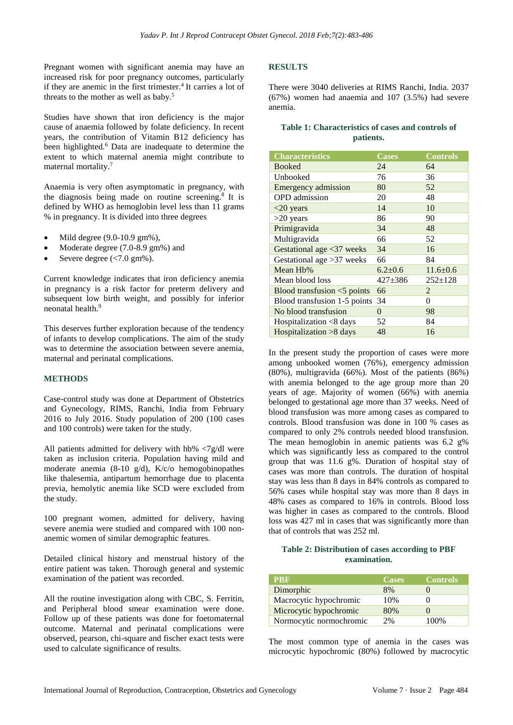Pregnant women with significant anemia may have an increased risk for poor pregnancy outcomes, particularly if they are anemic in the first trimester.<sup>4</sup> It carries a lot of threats to the mother as well as baby.<sup>5</sup>

Studies have shown that iron deficiency is the major cause of anaemia followed by folate deficiency. In recent years, the contribution of Vitamin B12 deficiency has been highlighted.<sup>6</sup> Data are inadequate to determine the extent to which maternal anemia might contribute to maternal mortality.<sup>7</sup>

Anaemia is very often asymptomatic in pregnancy, with the diagnosis being made on routine screening.<sup>8</sup> It is defined by WHO as hemoglobin level less than 11 grams % in pregnancy. It is divided into three degrees

- Mild degree  $(9.0-10.9 \text{ gm\%})$ ,
- Moderate degree (7.0-8.9 gm%) and
- Severe degree (<7.0 gm%).

Current knowledge indicates that iron deficiency anemia in pregnancy is a risk factor for preterm delivery and subsequent low birth weight, and possibly for inferior neonatal health<sup>9</sup>

This deserves further exploration because of the tendency of infants to develop complications. The aim of the study was to determine the association between severe anemia, maternal and perinatal complications.

#### **METHODS**

Case-control study was done at Department of Obstetrics and Gynecology, RIMS, Ranchi, India from February 2016 to July 2016. Study population of 200 (100 cases and 100 controls) were taken for the study.

All patients admitted for delivery with hb% <7g/dl were taken as inclusion criteria. Population having mild and moderate anemia  $(8-10 \text{ g/d})$ ,  $K/c/o$  hemogobinopathes like thalesemia, antipartum hemorrhage due to placenta previa, hemolytic anemia like SCD were excluded from the study.

100 pregnant women, admitted for delivery, having severe anemia were studied and compared with 100 nonanemic women of similar demographic features.

Detailed clinical history and menstrual history of the entire patient was taken. Thorough general and systemic examination of the patient was recorded.

All the routine investigation along with CBC, S. Ferritin, and Peripheral blood smear examination were done. Follow up of these patients was done for foetomaternal outcome. Maternal and perinatal complications were observed, pearson, chi-square and fischer exact tests were used to calculate significance of results.

#### **RESULTS**

There were 3040 deliveries at RIMS Ranchi, India. 2037 (67%) women had anaemia and 107 (3.5%) had severe anemia.

#### **Table 1: Characteristics of cases and controls of patients.**

| <b>Characteristics</b>       | <b>Cases</b>  | <b>Controls</b> |
|------------------------------|---------------|-----------------|
| <b>Booked</b>                | 24            | 64              |
| Unbooked                     | 76            | 36              |
| Emergency admission          | 80            | 52              |
| <b>OPD</b> admission         | 20            | 48              |
| $<$ 20 years                 | 14            | 10              |
| $>20$ years                  | 86            | 90              |
| Primigravida                 | 34            | 48              |
| Multigravida                 | 66            | 52              |
| Gestational age <37 weeks    | 34            | 16              |
| Gestational age $>37$ weeks  | 66            | 84              |
| Mean Hb%                     | $6.2 \pm 0.6$ | $11.6 \pm 0.6$  |
| Mean blood loss              | $427 + 386$   | $252 \pm 128$   |
| Blood transfusion <5 points  | 66            | 2               |
| Blood transfusion 1-5 points | 34            | 0               |
| No blood transfusion         | $\theta$      | 98              |
| Hospitalization <8 days      | 52            | 84              |
| Hospitalization >8 days      | 48            | 16              |

In the present study the proportion of cases were more among unbooked women (76%), emergency admission (80%), multigravida (66%). Most of the patients (86%) with anemia belonged to the age group more than 20 years of age. Majority of women (66%) with anemia belonged to gestational age more than 37 weeks. Need of blood transfusion was more among cases as compared to controls. Blood transfusion was done in 100 % cases as compared to only 2% controls needed blood transfusion. The mean hemoglobin in anemic patients was 6.2 g% which was significantly less as compared to the control group that was 11.6 g%. Duration of hospital stay of cases was more than controls. The duration of hospital stay was less than 8 days in 84% controls as compared to 56% cases while hospital stay was more than 8 days in 48% cases as compared to 16% in controls. Blood loss was higher in cases as compared to the controls. Blood loss was 427 ml in cases that was significantly more than that of controls that was 252 ml.

#### **Table 2: Distribution of cases according to PBF examination.**

| <b>PBF</b>              | <b>Cases</b> | <b>Controls</b> |
|-------------------------|--------------|-----------------|
| Dimorphic               | 8%           |                 |
| Macrocytic hypochromic  | 10%          |                 |
| Microcytic hypochromic  | 80%          |                 |
| Normocytic normochromic | 2%           | 100%            |

The most common type of anemia in the cases was microcytic hypochromic (80%) followed by macrocytic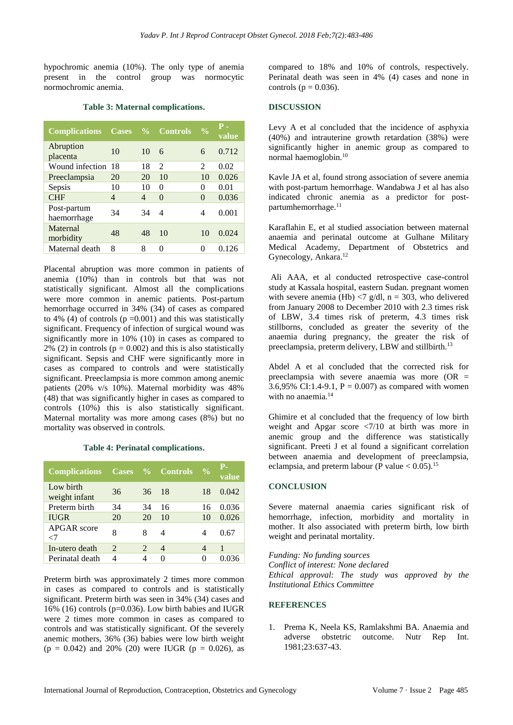hypochromic anemia (10%). The only type of anemia present in the control group was normocytic normochromic anemia.

|  |  |  | Table 3: Maternal complications. |
|--|--|--|----------------------------------|
|--|--|--|----------------------------------|

| <b>Complications</b>       | <b>Cases</b> |    | % Controls                  | $\frac{0}{0}$  | P<br>value |
|----------------------------|--------------|----|-----------------------------|----------------|------------|
| Abruption<br>placenta      | 10           | 10 | 6                           | 6              | 0.712      |
| Wound infection            | 18           | 18 | $\mathcal{D}_{\mathcal{L}}$ | $\mathfrak{D}$ | 0.02       |
| Preeclampsia               | 20           | 20 | 10                          | 10             | 0.026      |
| Sepsis                     | 10           | 10 | $\Omega$                    | 0              | 0.01       |
| <b>CHF</b>                 | 4            | 4  | $\theta$                    | $\Omega$       | 0.036      |
| Post-partum<br>haemorrhage | 34           | 34 | 4                           | 4              | 0.001      |
| Maternal<br>morbidity      | 48           | 48 | 10                          | 10             | 0.024      |
| Maternal death             | 8            | 8  | 0                           | 0              | 0.126      |

Placental abruption was more common in patients of anemia (10%) than in controls but that was not statistically significant. Almost all the complications were more common in anemic patients. Post-partum hemorrhage occurred in 34% (34) of cases as compared to 4% (4) of controls ( $p = 0.001$ ) and this was statistically significant. Frequency of infection of surgical wound was significantly more in 10% (10) in cases as compared to 2% (2) in controls ( $p = 0.002$ ) and this is also statistically significant. Sepsis and CHF were significantly more in cases as compared to controls and were statistically significant. Preeclampsia is more common among anemic patients (20% v/s 10%). Maternal morbidity was 48% (48) that was significantly higher in cases as compared to controls (10%) this is also statistically significant. Maternal mortality was more among cases (8%) but no mortality was observed in controls.

#### **Table 4: Perinatal complications.**

| <b>Complications Cases % Controls</b> |    |                             |    | $\frac{0}{0}$ | Р-<br>value |
|---------------------------------------|----|-----------------------------|----|---------------|-------------|
| Low birth<br>weight infant            | 36 | 36                          | 18 | 18            | 0.042       |
| Preterm birth                         | 34 | 34                          | 16 | 16            | 0.036       |
| <b>IUGR</b>                           | 20 | 20                          | 10 | 10            | 0.026       |
| <b>APGAR</b> score<br>-7              | 8  | 8                           | 4  | 4             | 0.67        |
| In-utero death                        | 2  | $\mathcal{D}_{\mathcal{L}}$ | 4  | 4             | 1           |
| Perinatal death                       | 4  |                             |    |               |             |

Preterm birth was approximately 2 times more common in cases as compared to controls and is statistically significant. Preterm birth was seen in 34% (34) cases and 16% (16) controls (p=0.036). Low birth babies and IUGR were 2 times more common in cases as compared to controls and was statistically significant. Of the severely anemic mothers, 36% (36) babies were low birth weight  $(p = 0.042)$  and 20% (20) were IUGR ( $p = 0.026$ ), as compared to 18% and 10% of controls, respectively. Perinatal death was seen in 4% (4) cases and none in controls ( $p = 0.036$ ).

#### **DISCUSSION**

Levy A et al concluded that the incidence of asphyxia (40%) and intrauterine growth retardation (38%) were significantly higher in anemic group as compared to normal haemoglobin.<sup>10</sup>

Kavle JA et al, found strong association of severe anemia with post-partum hemorrhage. Wandabwa J et al has also indicated chronic anemia as a predictor for postpartumhemorrhage.<sup>11</sup>

Karaflahin E, et al studied association between maternal anaemia and perinatal outcome at Gulhane Military Medical Academy, Department of Obstetrics and Gynecology, Ankara.<sup>12</sup>

Ali AAA, et al conducted retrospective case-control study at Kassala hospital, eastern Sudan. pregnant women with severe anemia (Hb)  $\langle 7 \text{ g/dl}, n = 303$ , who delivered from January 2008 to December 2010 with 2.3 times risk of LBW, 3.4 times risk of preterm, 4.3 times risk stillborns, concluded as greater the severity of the anaemia during pregnancy, the greater the risk of preeclampsia, preterm delivery, LBW and stillbirth.<sup>13</sup>

Abdel A et al concluded that the corrected risk for preeclampsia with severe anaemia was more (OR = 3.6,95% CI:1.4-9.1,  $P = 0.007$  as compared with women with no anaemia.<sup>14</sup>

Ghimire et al concluded that the frequency of low birth weight and Apgar score  $\langle 7/10 \rangle$  at birth was more in anemic group and the difference was statistically significant. Preeti J et al found a significant correlation between anaemia and development of preeclampsia, eclampsia, and preterm labour (P value  $< 0.05$ ).<sup>15</sup>

#### **CONCLUSION**

Severe maternal anaemia caries significant risk of hemorrhage, infection, morbidity and mortality in mother. It also associated with preterm birth, low birth weight and perinatal mortality.

*Funding: No funding sources*

*Conflict of interest: None declared Ethical approval: The study was approved by the Institutional Ethics Committee*

#### **REFERENCES**

1. Prema K, Neela KS, Ramlakshmi BA. Anaemia and adverse obstetric outcome. Nutr Rep Int. 1981;23:637-43.